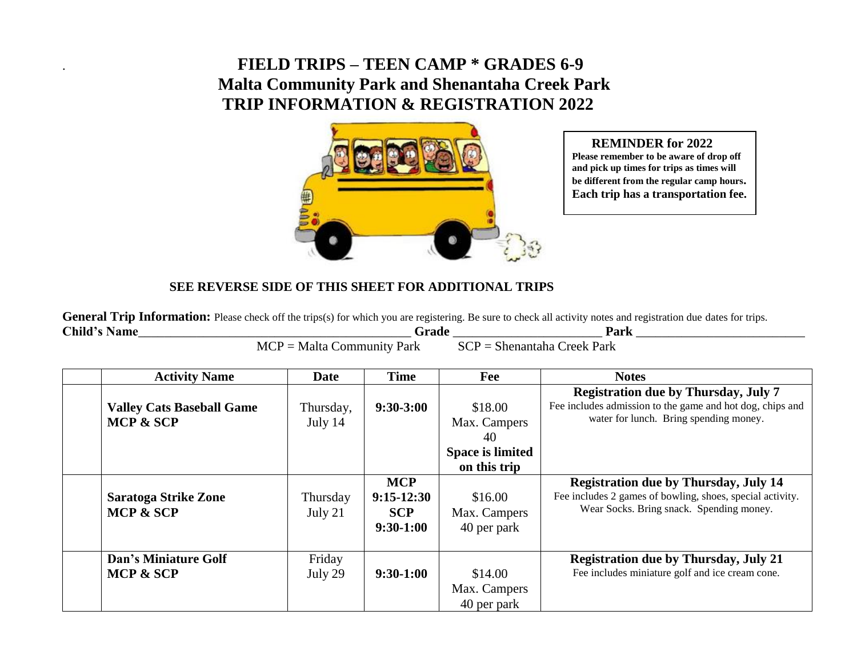## . **FIELD TRIPS – TEEN CAMP \* GRADES 6-9 Malta Community Park and Shenantaha Creek Park TRIP INFORMATION & REGISTRATION 2022**



## **REMINDER for 2022**

**Please remember to be aware of drop off and pick up times for trips as times will be different from the regular camp hours. Each trip has a transportation fee.**

## **SEE REVERSE SIDE OF THIS SHEET FOR ADDITIONAL TRIPS**

General Trip Information: Please check off the trips(s) for which you are registering. Be sure to check all activity notes and registration due dates for trips. **Child's Name**\_\_\_\_\_\_\_\_\_\_\_\_\_\_\_\_\_\_\_\_\_\_\_\_\_\_\_\_\_\_\_\_\_\_\_\_\_\_\_\_\_\_ **Grade** \_\_\_\_\_\_\_\_\_\_\_\_\_\_\_\_\_\_\_\_\_\_\_ **Park** \_\_\_\_\_\_\_\_\_\_\_\_\_\_\_\_\_\_\_\_\_\_\_\_\_\_

|                                                         | --------- | ------                                           |  |
|---------------------------------------------------------|-----------|--------------------------------------------------|--|
| $\sim$<br>МI<br>,,,,,,<br>_<br>. YF<br>$\bf{v}$<br>ai n |           | Joslz<br>. .<br>'ai N<br>,,<br>ຼ<br>$\sim$ $  -$ |  |

| <b>Activity Name</b>                                     | <b>Date</b>          | <b>Time</b>                                             | Fee                                                                      | <b>Notes</b>                                                                                                                                          |
|----------------------------------------------------------|----------------------|---------------------------------------------------------|--------------------------------------------------------------------------|-------------------------------------------------------------------------------------------------------------------------------------------------------|
| <b>Valley Cats Baseball Game</b><br><b>MCP &amp; SCP</b> | Thursday,<br>July 14 | $9:30-3:00$                                             | \$18.00<br>Max. Campers<br>40<br><b>Space is limited</b><br>on this trip | <b>Registration due by Thursday, July 7</b><br>Fee includes admission to the game and hot dog, chips and<br>water for lunch. Bring spending money.    |
| <b>Saratoga Strike Zone</b><br><b>MCP &amp; SCP</b>      | Thursday<br>July 21  | <b>MCP</b><br>$9:15-12:30$<br><b>SCP</b><br>$9:30-1:00$ | \$16.00<br>Max. Campers<br>40 per park                                   | <b>Registration due by Thursday, July 14</b><br>Fee includes 2 games of bowling, shoes, special activity.<br>Wear Socks. Bring snack. Spending money. |
| <b>Dan's Miniature Golf</b><br>MCP & SCP                 | Friday<br>July 29    | $9:30-1:00$                                             | \$14.00<br>Max. Campers<br>40 per park                                   | <b>Registration due by Thursday, July 21</b><br>Fee includes miniature golf and ice cream cone.                                                       |